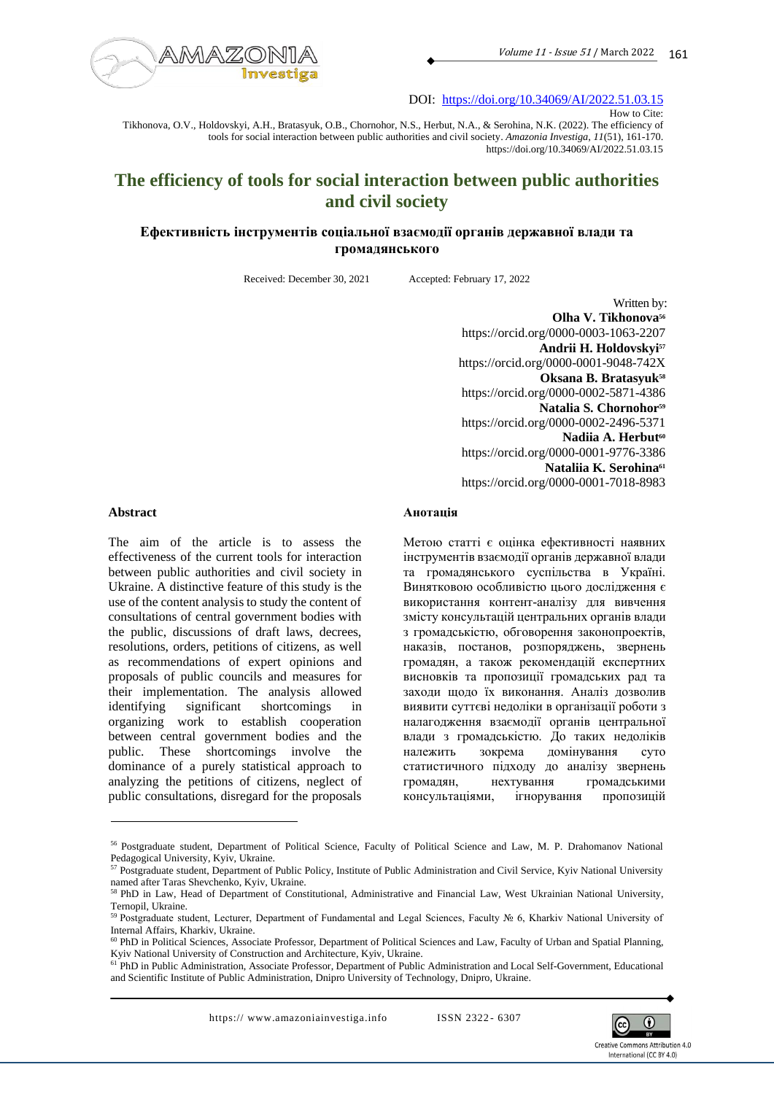

DOI: <https://doi.org/10.34069/AI/2022.51.03.15>

How to Cite: Tikhonova, O.V., Holdovskyi, A.H., Bratasyuk, O.B., Chornohor, N.S., Herbut, N.A., & Serohina, N.K. (2022). The efficiency of tools for social interaction between public authorities and civil society. *Amazonia Investiga*, *11*(51), 161-170. https://doi.org/10.34069/AI/2022.51.03.15

# **The efficiency of tools for social interaction between public authorities and civil society**

# **Ефективність інструментів соціальної взаємодії органів державної влади та громадянського**

Received: December 30, 2021 Accepted: February 17, 2022

Written by: **Olha V. Tikhonova<sup>56</sup>** https://orcid.org/0000-0003-1063-2207 **Andrii H. Holdovskyi<sup>57</sup>** https://orcid.org/0000-0001-9048-742X **Oksana B. Bratasyuk<sup>58</sup>** https://orcid.org/0000-0002-5871-4386 **Natalia S. Chornohor<sup>59</sup>** https://orcid.org/0000-0002-2496-5371 **Nadiia A. Herbut<sup>60</sup>** https://orcid.org/0000-0001-9776-3386 **Nataliia K. Serohina<sup>61</sup>** https://orcid.org/0000-0001-7018-8983

#### **Abstract**

The aim of the article is to assess the effectiveness of the current tools for interaction between public authorities and civil society in Ukraine. A distinctive feature of this study is the use of the content analysis to study the content of consultations of central government bodies with the public, discussions of draft laws, decrees, resolutions, orders, petitions of citizens, as well as recommendations of expert opinions and proposals of public councils and measures for their implementation. The analysis allowed identifying significant shortcomings in organizing work to establish cooperation between central government bodies and the public. These shortcomings involve the dominance of a purely statistical approach to analyzing the petitions of citizens, neglect of public consultations, disregard for the proposals

#### **Анотація**

Метою статті є оцінка ефективності наявних інструментів взаємодії органів державної влади та громадянського суспільства в Україні. Винятковою особливістю цього дослідження є використання контент-аналізу для вивчення змісту консультацій центральних органів влади з громадськістю, обговорення законопроектів, наказів, постанов, розпоряджень, звернень громадян, а також рекомендацій експертних висновків та пропозиції громадських рад та заходи щодо їх виконання. Аналіз дозволив виявити суттєві недоліки в організації роботи з налагодження взаємодії органів центральної влади з громадськістю. До таких недоліків належить зокрема домінування суто статистичного підходу до аналізу звернень громадян, нехтування громадськими консультаціями, ігнорування пропозицій



<sup>56</sup> Postgraduate student, Department of Political Science, Faculty of Political Science and Law, M. P. Drahomanov National Pedagogical University, Kyiv, Ukraine.

<sup>&</sup>lt;sup>57</sup> Postgraduate student, Department of Public Policy, Institute of Public Administration and Civil Service, Kyiv National University named after Taras Shevchenko, Kyiv, Ukraine.

<sup>58</sup> PhD in Law, Head of Department of Constitutional, Administrative and Financial Law, West Ukrainian National University, Ternopil, Ukraine.

<sup>59</sup> Рostgraduate student, Lecturer, Department of Fundamental and Legal Sciences, Faculty № 6, Kharkiv National University of Internal Affairs, Kharkiv, Ukraine.

<sup>60</sup> PhD in Political Sciences, Associate Professor, Department of Political Sciences and Law, Faculty of Urban and Spatial Planning, Kyiv National University of Construction and Architecture, Kyiv, Ukraine.

<sup>61</sup> PhD in Public Administration, Associate Professor, Department of Public Administration and Local Self-Government, Educational and Scientific Institute of Public Administration, Dnipro University of Technology, Dnipro, Ukraine.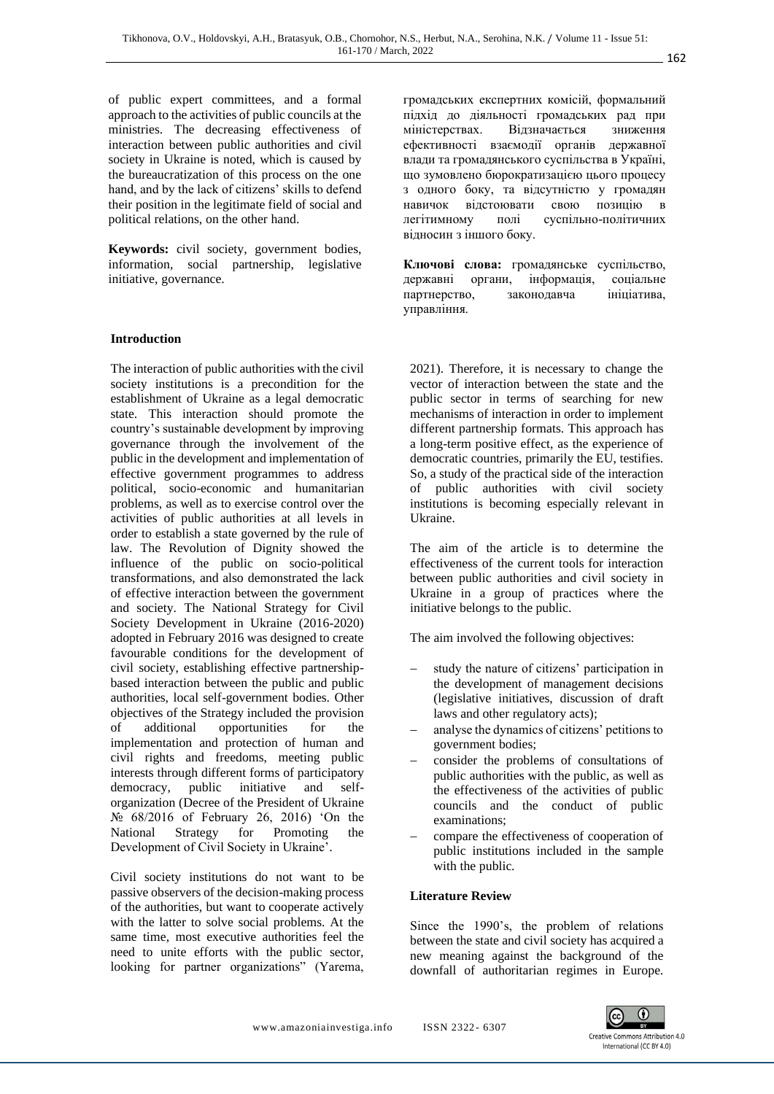of public expert committees, and a formal approach to the activities of public councils at the ministries. The decreasing effectiveness of interaction between public authorities and civil society in Ukraine is noted, which is caused by the bureaucratization of this process on the one hand, and by the lack of citizens' skills to defend their position in the legitimate field of social and political relations, on the other hand.

**Keywords:** civil society, government bodies, information, social partnership, legislative initiative, governance.

## **Introduction**

The interaction of public authorities with the civil society institutions is a precondition for the establishment of Ukraine as a legal democratic state. This interaction should promote the country's sustainable development by improving governance through the involvement of the public in the development and implementation of effective government programmes to address political, socio-economic and humanitarian problems, as well as to exercise control over the activities of public authorities at all levels in order to establish a state governed by the rule of law. The Revolution of Dignity showed the influence of the public on socio-political transformations, and also demonstrated the lack of effective interaction between the government and society. The National Strategy for Civil Society Development in Ukraine (2016-2020) adopted in February 2016 was designed to create favourable conditions for the development of civil society, establishing effective partnershipbased interaction between the public and public authorities, local self-government bodies. Other objectives of the Strategy included the provision of additional opportunities for the implementation and protection of human and civil rights and freedoms, meeting public interests through different forms of participatory democracy, public initiative and selforganization (Decree of the President of Ukraine № 68/2016 of February 26, 2016) 'On the National Strategy for Promoting the Development of Civil Society in Ukraine'.

Civil society institutions do not want to be passive observers of the decision-making process of the authorities, but want to cooperate actively with the latter to solve social problems. At the same time, most executive authorities feel the need to unite efforts with the public sector, looking for partner organizations" (Yarema, громадських експертних комісій, формальний підхід до діяльності громадських рад при міністерствах. Відзначається зниження ефективності взаємодії органів державної влади та громадянського суспільства в Україні, що зумовлено бюрократизацією цього процесу з одного боку, та відсутністю у громадян навичок відстоювати свою позицію в легітимному полі суспільно-політичних відносин з іншого боку.

**Ключові слова:** громадянське суспільство, державні органи, інформація, соціальне партнерство, законодавча ініціатива, управління.

2021). Therefore, it is necessary to change the vector of interaction between the state and the public sector in terms of searching for new mechanisms of interaction in order to implement different partnership formats. This approach has a long-term positive effect, as the experience of democratic countries, primarily the EU, testifies. So, a study of the practical side of the interaction of public authorities with civil society institutions is becoming especially relevant in Ukraine.

The aim of the article is to determine the effectiveness of the current tools for interaction between public authorities and civil society in Ukraine in a group of practices where the initiative belongs to the public.

The aim involved the following objectives:

- study the nature of citizens' participation in the development of management decisions (legislative initiatives, discussion of draft laws and other regulatory acts);
- − analyse the dynamics of citizens' petitions to government bodies;
- − consider the problems of consultations of public authorities with the public, as well as the effectiveness of the activities of public councils and the conduct of public examinations;
- compare the effectiveness of cooperation of public institutions included in the sample with the public.

#### **Literature Review**

Since the 1990's, the problem of relations between the state and civil society has acquired a new meaning against the background of the downfall of authoritarian regimes in Europe.

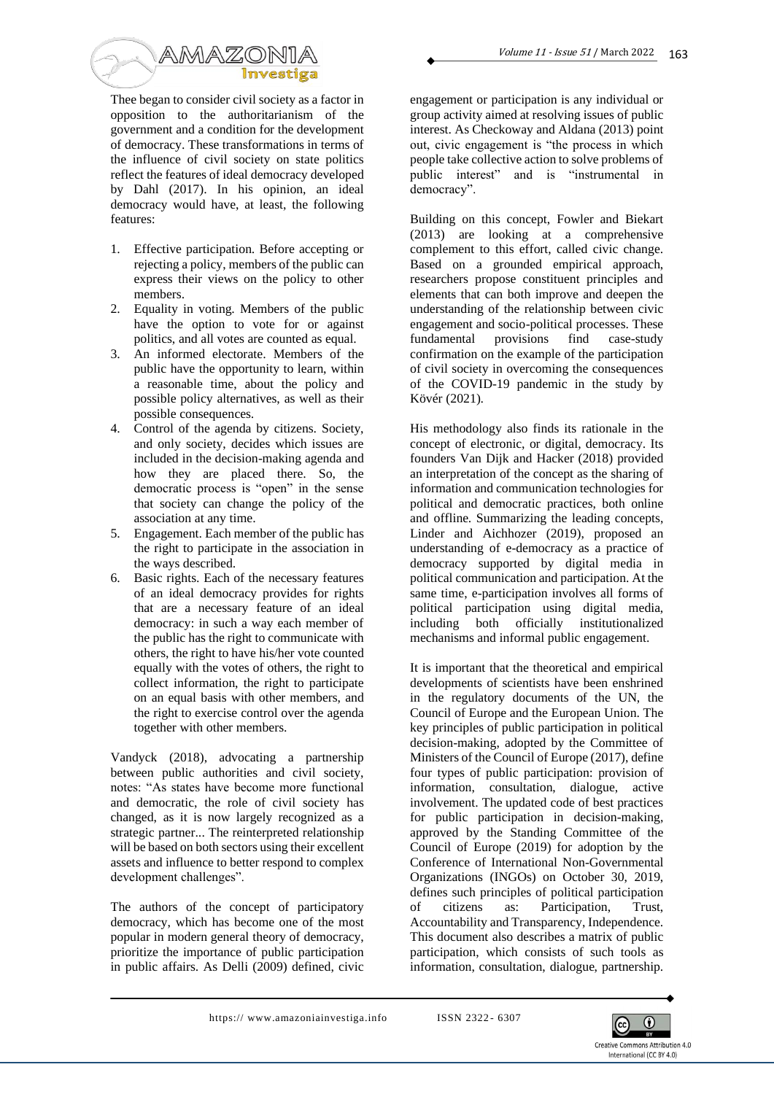

Thee began to consider civil society as a factor in opposition to the authoritarianism of the government and a condition for the development of democracy. These transformations in terms of the influence of civil society on state politics reflect the features of ideal democracy developed by Dahl (2017). In his opinion, an ideal democracy would have, at least, the following features:

- 1. Effective participation. Before accepting or rejecting a policy, members of the public can express their views on the policy to other members.
- 2. Equality in voting. Members of the public have the option to vote for or against politics, and all votes are counted as equal.
- 3. An informed electorate. Members of the public have the opportunity to learn, within a reasonable time, about the policy and possible policy alternatives, as well as their possible consequences.
- 4. Control of the agenda by citizens. Society, and only society, decides which issues are included in the decision-making agenda and how they are placed there. So, the democratic process is "open" in the sense that society can change the policy of the association at any time.
- 5. Engagement. Each member of the public has the right to participate in the association in the ways described.
- 6. Basic rights. Each of the necessary features of an ideal democracy provides for rights that are a necessary feature of an ideal democracy: in such a way each member of the public has the right to communicate with others, the right to have his/her vote counted equally with the votes of others, the right to collect information, the right to participate on an equal basis with other members, and the right to exercise control over the agenda together with other members.

Vandyck (2018), advocating a partnership between public authorities and civil society, notes: "As states have become more functional and democratic, the role of civil society has changed, as it is now largely recognized as a strategic partner... The reinterpreted relationship will be based on both sectors using their excellent assets and influence to better respond to complex development challenges".

The authors of the concept of participatory democracy, which has become one of the most popular in modern general theory of democracy, prioritize the importance of public participation in public affairs. As Delli (2009) defined, civic

engagement or participation is any individual or group activity aimed at resolving issues of public interest. As Checkoway and Aldana (2013) point out, civic engagement is "the process in which people take collective action to solve problems of public interest" and is "instrumental in democracy".

Building on this concept, Fowler and Biekart (2013) are looking at a comprehensive complement to this effort, called civic change. Based on a grounded empirical approach, researchers propose constituent principles and elements that can both improve and deepen the understanding of the relationship between civic engagement and socio-political processes. These<br>fundamental provisions find case-study fundamental provisions find case-study confirmation on the example of the participation of civil society in overcoming the consequences of the COVID-19 pandemic in the study by Kövér (2021).

His methodology also finds its rationale in the concept of electronic, or digital, democracy. Its founders Van Dijk and Hacker (2018) provided an interpretation of the concept as the sharing of information and communication technologies for political and democratic practices, both online and offline. Summarizing the leading concepts, Linder and Aichhozer (2019), proposed an understanding of e-democracy as a practice of democracy supported by digital media in political communication and participation. At the same time, e-participation involves all forms of political participation using digital media, including both officially institutionalized mechanisms and informal public engagement.

It is important that the theoretical and empirical developments of scientists have been enshrined in the regulatory documents of the UN, the Council of Europe and the European Union. The key principles of public participation in political decision-making, adopted by the Committee of Ministers of the Council of Europe (2017), define four types of public participation: provision of information, consultation, dialogue, active involvement. The updated code of best practices for public participation in decision-making, approved by the Standing Committee of the Council of Europe (2019) for adoption by the Conference of International Non-Governmental Organizations (INGOs) on October 30, 2019, defines such principles of political participation of citizens as: Participation, Trust, Accountability and Transparency, Independence. This document also describes a matrix of public participation, which consists of such tools as information, consultation, dialogue, partnership.

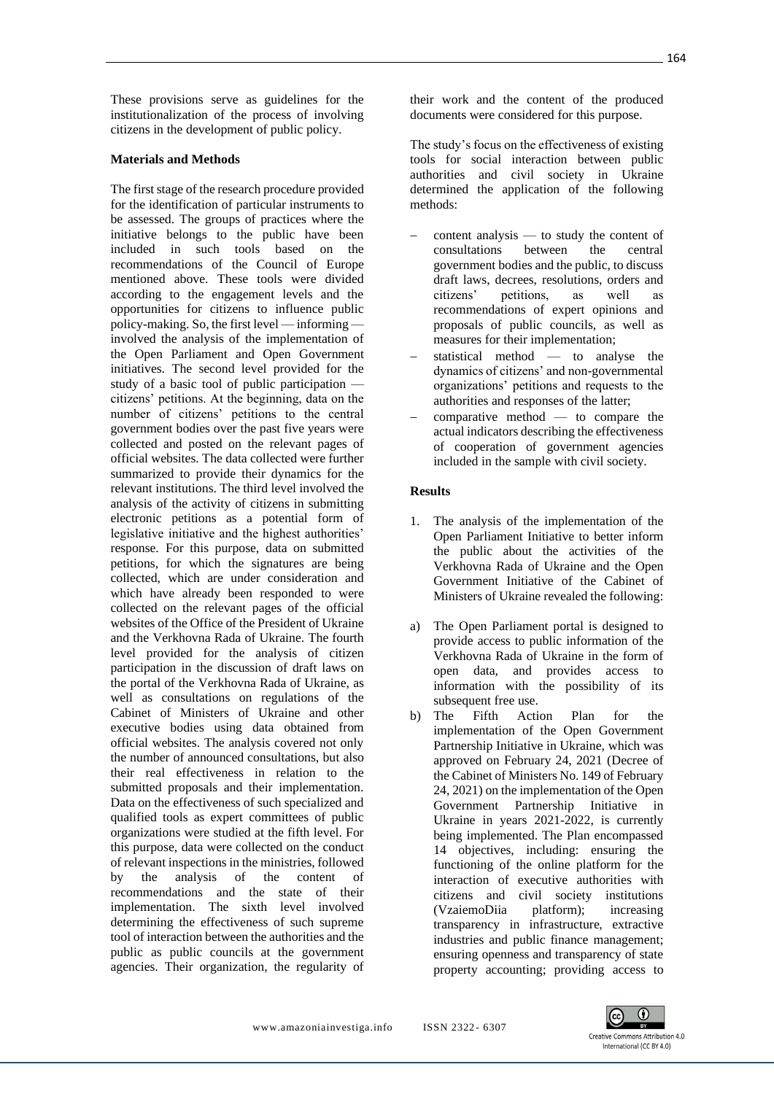These provisions serve as guidelines for the institutionalization of the process of involving citizens in the development of public policy.

## **Materials and Methods**

The first stage of the research procedure provided for the identification of particular instruments to be assessed. The groups of practices where the initiative belongs to the public have been included in such tools based on the recommendations of the Council of Europe mentioned above. These tools were divided according to the engagement levels and the opportunities for citizens to influence public policy-making. So, the first level — informing involved the analysis of the implementation of the Open Parliament and Open Government initiatives. The second level provided for the study of a basic tool of public participation citizens' petitions. At the beginning, data on the number of citizens' petitions to the central government bodies over the past five years were collected and posted on the relevant pages of official websites. The data collected were further summarized to provide their dynamics for the relevant institutions. The third level involved the analysis of the activity of citizens in submitting electronic petitions as a potential form of legislative initiative and the highest authorities' response. For this purpose, data on submitted petitions, for which the signatures are being collected, which are under consideration and which have already been responded to were collected on the relevant pages of the official websites of the Office of the President of Ukraine and the Verkhovna Rada of Ukraine. The fourth level provided for the analysis of citizen participation in the discussion of draft laws on the portal of the Verkhovna Rada of Ukraine, as well as consultations on regulations of the Cabinet of Ministers of Ukraine and other executive bodies using data obtained from official websites. The analysis covered not only the number of announced consultations, but also their real effectiveness in relation to the submitted proposals and their implementation. Data on the effectiveness of such specialized and qualified tools as expert committees of public organizations were studied at the fifth level. For this purpose, data were collected on the conduct of relevant inspections in the ministries, followed<br>by the analysis of the content of by the analysis of the content of recommendations and the state of their implementation. The sixth level involved determining the effectiveness of such supreme tool of interaction between the authorities and the public as public councils at the government agencies. Their organization, the regularity of

their work and the content of the produced documents were considered for this purpose.

The study's focus on the effectiveness of existing tools for social interaction between public authorities and civil society in Ukraine determined the application of the following methods:

- content analysis to study the content of consultations between the central government bodies and the public, to discuss draft laws, decrees, resolutions, orders and citizens' petitions, as well as recommendations of expert opinions and proposals of public councils, as well as measures for their implementation;
- statistical method to analyse the dynamics of citizens' and non-governmental organizations' petitions and requests to the authorities and responses of the latter;
- $comparative method$  to compare the actual indicators describing the effectiveness of cooperation of government agencies included in the sample with civil society.

## **Results**

- 1. The analysis of the implementation of the Open Parliament Initiative to better inform the public about the activities of the Verkhovna Rada of Ukraine and the Open Government Initiative of the Cabinet of Ministers of Ukraine revealed the following:
- a) The Open Parliament portal is designed to provide access to public information of the Verkhovna Rada of Ukraine in the form of open data, and provides access to information with the possibility of its subsequent free use.
- b) The Fifth Action Plan for the implementation of the Open Government Partnership Initiative in Ukraine, which was approved on February 24, 2021 (Decree of the Cabinet of Ministers No. 149 of February 24, 2021) on the implementation of the Open Government Partnership Initiative in Ukraine in years 2021-2022, is currently being implemented. The Plan encompassed 14 objectives, including: ensuring the functioning of the online platform for the interaction of executive authorities with citizens and civil society institutions (VzaiemoDiia platform); increasing transparency in infrastructure, extractive industries and public finance management; ensuring openness and transparency of state property accounting; providing access to

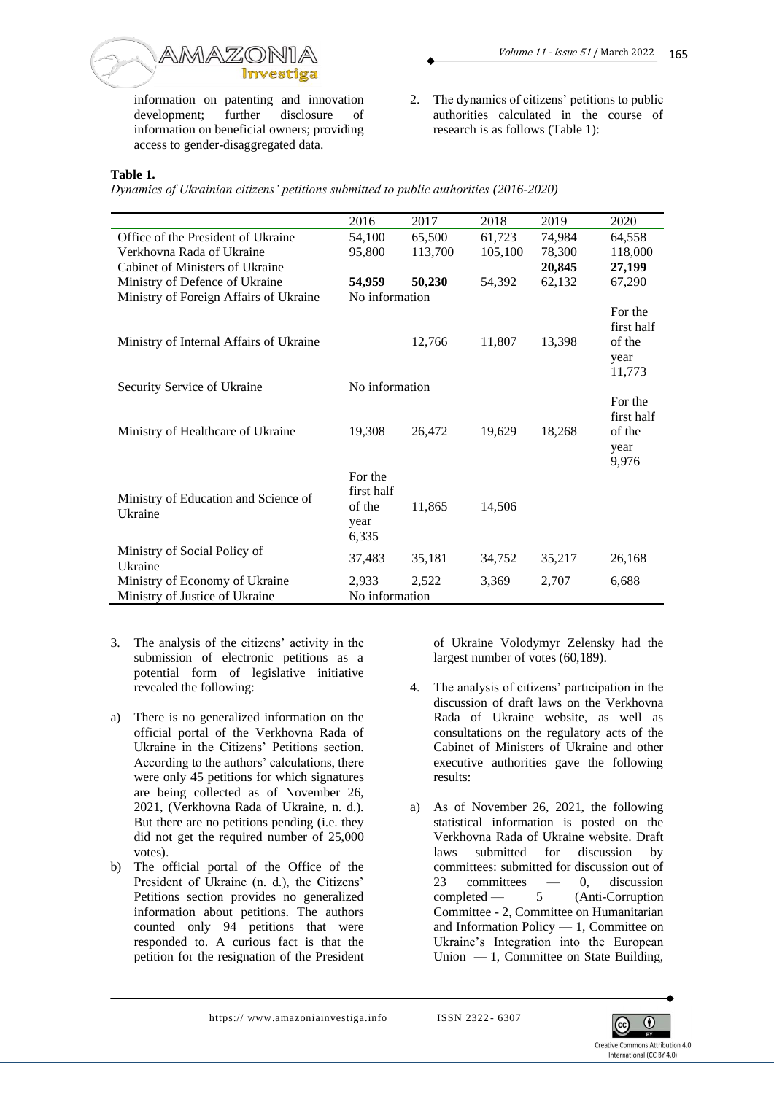

information on patenting and innovation development; further disclosure of information on beneficial owners; providing access to gender-disaggregated data.

2. The dynamics of citizens' petitions to public authorities calculated in the course of research is as follows (Table 1):

# **Table 1.**

*Dynamics of Ukrainian citizens' petitions submitted to public authorities (2016-2020)*

|                                         | 2016           | 2017    | 2018    | 2019   | 2020       |
|-----------------------------------------|----------------|---------|---------|--------|------------|
|                                         |                |         |         |        |            |
| Office of the President of Ukraine      | 54,100         | 65,500  | 61,723  | 74,984 | 64,558     |
| Verkhovna Rada of Ukraine               | 95,800         | 113,700 | 105,100 | 78,300 | 118,000    |
| Cabinet of Ministers of Ukraine         |                |         |         | 20,845 | 27,199     |
| Ministry of Defence of Ukraine          | 54,959         | 50,230  | 54,392  | 62,132 | 67,290     |
| Ministry of Foreign Affairs of Ukraine  | No information |         |         |        |            |
|                                         |                |         |         |        | For the    |
|                                         |                |         |         |        | first half |
| Ministry of Internal Affairs of Ukraine |                | 12,766  | 11,807  | 13,398 | of the     |
|                                         |                |         |         |        | year       |
|                                         |                |         |         |        |            |
|                                         |                |         |         |        | 11,773     |
| Security Service of Ukraine             | No information |         |         |        |            |
|                                         |                |         |         |        | For the    |
|                                         |                |         |         |        | first half |
| Ministry of Healthcare of Ukraine       | 19,308         | 26,472  | 19,629  | 18,268 | of the     |
|                                         |                |         |         |        | year       |
|                                         |                |         |         |        | 9,976      |
|                                         | For the        |         |         |        |            |
|                                         | first half     |         |         |        |            |
| Ministry of Education and Science of    | of the         | 11,865  | 14,506  |        |            |
| Ukraine                                 | year           |         |         |        |            |
|                                         |                |         |         |        |            |
|                                         | 6,335          |         |         |        |            |
| Ministry of Social Policy of            | 37,483         | 35,181  | 34,752  | 35,217 | 26,168     |
| Ukraine                                 |                |         |         |        |            |
| Ministry of Economy of Ukraine          | 2,933          | 2,522   | 3,369   | 2,707  | 6,688      |
| Ministry of Justice of Ukraine          | No information |         |         |        |            |

- 3. The analysis of the citizens' activity in the submission of electronic petitions as a potential form of legislative initiative revealed the following:
- a) There is no generalized information on the official portal of the Verkhovna Rada of Ukraine in the Citizens' Petitions section. According to the authors' calculations, there were only 45 petitions for which signatures are being collected as of November 26, 2021, (Verkhovna Rada of Ukraine, n. d.). But there are no petitions pending (i.e. they did not get the required number of 25,000 votes).
- b) The official portal of the Office of the President of Ukraine (n. d.), the Citizens' Petitions section provides no generalized information about petitions. The authors counted only 94 petitions that were responded to. A curious fact is that the petition for the resignation of the President

of Ukraine Volodymyr Zelensky had the largest number of votes (60,189).

- 4. The analysis of citizens' participation in the discussion of draft laws on the Verkhovna Rada of Ukraine website, as well as consultations on the regulatory acts of the Cabinet of Ministers of Ukraine and other executive authorities gave the following results:
- a) As of November 26, 2021, the following statistical information is posted on the Verkhovna Rada of Ukraine website. Draft laws submitted for discussion by committees: submitted for discussion out of 23 committees — 0, discussion completed — 5 (Anti-Corruption Committee - 2, Committee on Humanitarian and Information Policy — 1, Committee on Ukraine's Integration into the European Union  $-1$ , Committee on State Building,

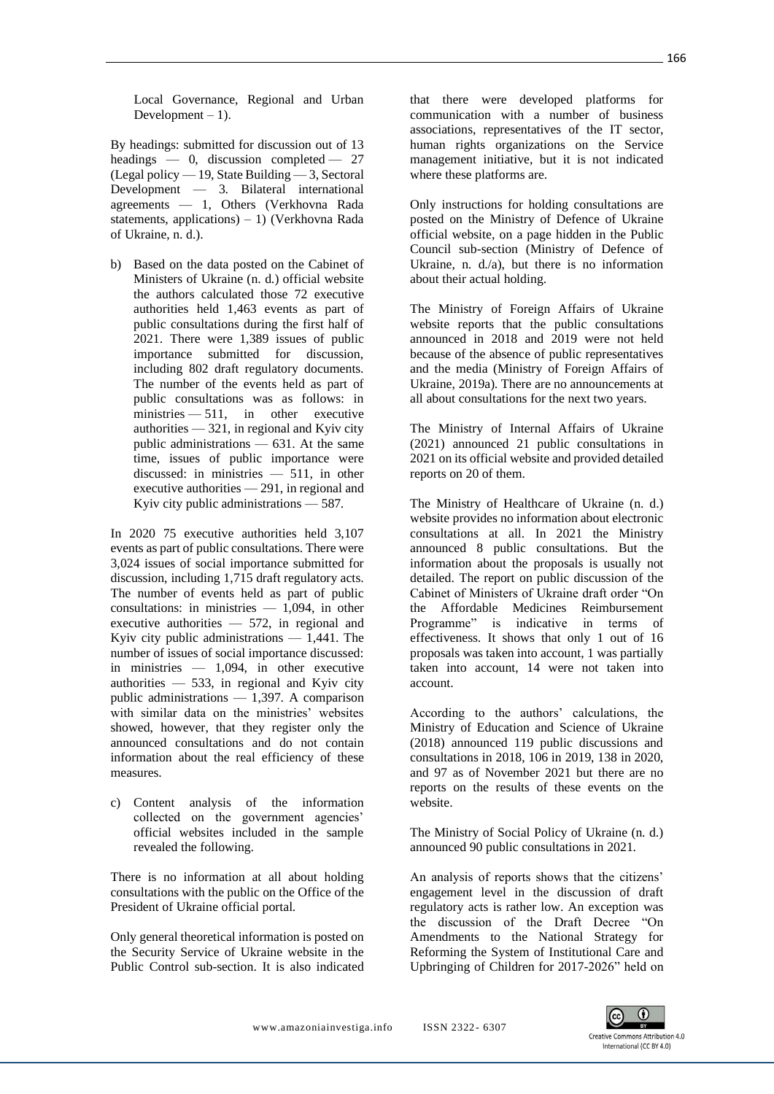Local Governance, Regional and Urban Development  $-1$ ).

By headings: submitted for discussion out of 13 headings — 0, discussion completed — 27 (Legal policy — 19, State Building — 3, Sectoral Development — 3. Bilateral international agreements — 1, Others (Verkhovna Rada statements, applications) – 1) (Verkhovna Rada of Ukraine, n. d.).

b) Based on the data posted on the Cabinet of Ministers of Ukraine (n. d.) official website the authors calculated those 72 executive authorities held 1,463 events as part of public consultations during the first half of 2021. There were 1,389 issues of public importance submitted for discussion, including 802 draft regulatory documents. The number of the events held as part of public consultations was as follows: in ministries — 511, in other executive authorities — 321, in regional and Kyiv city public administrations — 631. At the same time, issues of public importance were discussed: in ministries — 511, in other executive authorities — 291, in regional and Kyiv city public administrations — 587.

In 2020 75 executive authorities held 3,107 events as part of public consultations. There were 3,024 issues of social importance submitted for discussion, including 1,715 draft regulatory acts. The number of events held as part of public consultations: in ministries — 1,094, in other executive authorities — 572, in regional and Kyiv city public administrations  $-1,441$ . The number of issues of social importance discussed: in ministries — 1,094, in other executive authorities  $-533$ , in regional and Kyiv city public administrations — 1,397. A comparison with similar data on the ministries' websites showed, however, that they register only the announced consultations and do not contain information about the real efficiency of these measures.

c) Content analysis of the information collected on the government agencies' official websites included in the sample revealed the following.

There is no information at all about holding consultations with the public on the Office of the President of Ukraine official portal.

Only general theoretical information is posted on the Security Service of Ukraine website in the Public Control sub-section. It is also indicated

that there were developed platforms for communication with a number of business associations, representatives of the IT sector, human rights organizations on the Service management initiative, but it is not indicated where these platforms are.

Only instructions for holding consultations are posted on the Ministry of Defence of Ukraine official website, on a page hidden in the Public Council sub-section (Ministry of Defence of Ukraine, n. d./a), but there is no information about their actual holding.

The Ministry of Foreign Affairs of Ukraine website reports that the public consultations announced in 2018 and 2019 were not held because of the absence of public representatives and the media (Ministry of Foreign Affairs of Ukraine, 2019a). There are no announcements at all about consultations for the next two years.

The Ministry of Internal Affairs of Ukraine (2021) announced 21 public consultations in 2021 on its official website and provided detailed reports on 20 of them.

The Ministry of Healthcare of Ukraine (n. d.) website provides no information about electronic consultations at all. In 2021 the Ministry announced 8 public consultations. But the information about the proposals is usually not detailed. The report on public discussion of the Cabinet of Ministers of Ukraine draft order "On the Affordable Medicines Reimbursement Programme" is indicative in terms of effectiveness. It shows that only 1 out of 16 proposals was taken into account, 1 was partially taken into account, 14 were not taken into account.

According to the authors' calculations, the Ministry of Education and Science of Ukraine (2018) announced 119 public discussions and consultations in 2018, 106 in 2019, 138 in 2020, and 97 as of November 2021 but there are no reports on the results of these events on the website.

The Ministry of Social Policy of Ukraine (n. d.) announced 90 public consultations in 2021.

An analysis of reports shows that the citizens' engagement level in the discussion of draft regulatory acts is rather low. An exception was the discussion of the Draft Decree "On Amendments to the National Strategy for Reforming the System of Institutional Care and Upbringing of Children for 2017-2026" held on

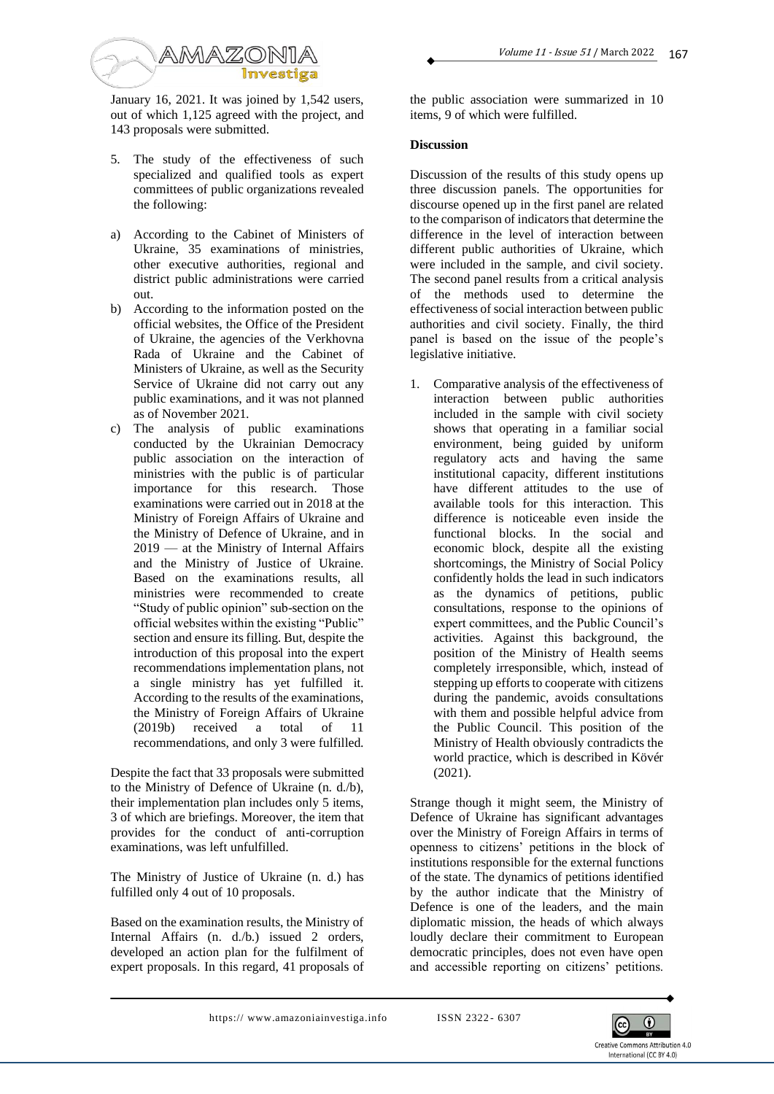

January 16, 2021. It was joined by 1,542 users, out of which 1,125 agreed with the project, and 143 proposals were submitted.

- 5. The study of the effectiveness of such specialized and qualified tools as expert committees of public organizations revealed the following:
- a) According to the Cabinet of Ministers of Ukraine, 35 examinations of ministries, other executive authorities, regional and district public administrations were carried out.
- b) According to the information posted on the official websites, the Office of the President of Ukraine, the agencies of the Verkhovna Rada of Ukraine and the Cabinet of Ministers of Ukraine, as well as the Security Service of Ukraine did not carry out any public examinations, and it was not planned as of November 2021.
- c) The analysis of public examinations conducted by the Ukrainian Democracy public association on the interaction of ministries with the public is of particular importance for this research. Those examinations were carried out in 2018 at the Ministry of Foreign Affairs of Ukraine and the Ministry of Defence of Ukraine, and in 2019 — at the Ministry of Internal Affairs and the Ministry of Justice of Ukraine. Based on the examinations results, all ministries were recommended to create "Study of public opinion" sub-section on the official websites within the existing "Public" section and ensure its filling. But, despite the introduction of this proposal into the expert recommendations implementation plans, not a single ministry has yet fulfilled it. According to the results of the examinations, the Ministry of Foreign Affairs of Ukraine (2019b) received a total of 11 recommendations, and only 3 were fulfilled.

Despite the fact that 33 proposals were submitted to the Ministry of Defence of Ukraine (n. d./b), their implementation plan includes only 5 items, 3 of which are briefings. Moreover, the item that provides for the conduct of anti-corruption examinations, was left unfulfilled.

The Ministry of Justice of Ukraine (n. d.) has fulfilled only 4 out of 10 proposals.

Based on the examination results, the Ministry of Internal Affairs (n. d./b.) issued 2 orders, developed an action plan for the fulfilment of expert proposals. In this regard, 41 proposals of the public association were summarized in 10 items, 9 of which were fulfilled.

# **Discussion**

Discussion of the results of this study opens up three discussion panels. The opportunities for discourse opened up in the first panel are related to the comparison of indicators that determine the difference in the level of interaction between different public authorities of Ukraine, which were included in the sample, and civil society. The second panel results from a critical analysis of the methods used to determine the effectiveness of social interaction between public authorities and civil society. Finally, the third panel is based on the issue of the people's legislative initiative.

1. Comparative analysis of the effectiveness of interaction between public authorities included in the sample with civil society shows that operating in a familiar social environment, being guided by uniform regulatory acts and having the same institutional capacity, different institutions have different attitudes to the use of available tools for this interaction. This difference is noticeable even inside the functional blocks. In the social and economic block, despite all the existing shortcomings, the Ministry of Social Policy confidently holds the lead in such indicators as the dynamics of petitions, public consultations, response to the opinions of expert committees, and the Public Council's activities. Against this background, the position of the Ministry of Health seems completely irresponsible, which, instead of stepping up efforts to cooperate with citizens during the pandemic, avoids consultations with them and possible helpful advice from the Public Council. This position of the Ministry of Health obviously contradicts the world practice, which is described in Kövér (2021).

Strange though it might seem, the Ministry of Defence of Ukraine has significant advantages over the Ministry of Foreign Affairs in terms of openness to citizens' petitions in the block of institutions responsible for the external functions of the state. The dynamics of petitions identified by the author indicate that the Ministry of Defence is one of the leaders, and the main diplomatic mission, the heads of which always loudly declare their commitment to European democratic principles, does not even have open and accessible reporting on citizens' petitions.

https://www.amazoniainvestiga.info ISSN 2322-6307

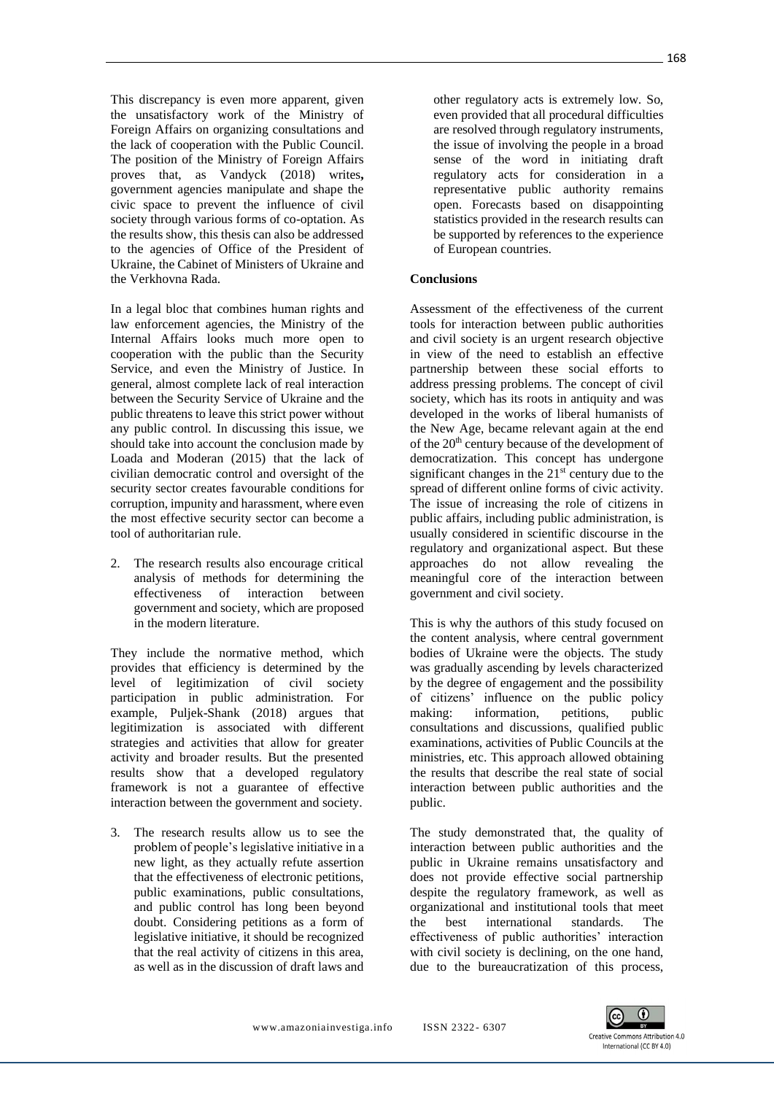This discrepancy is even more apparent, given the unsatisfactory work of the Ministry of Foreign Affairs on organizing consultations and the lack of cooperation with the Public Council. The position of the Ministry of Foreign Affairs proves that, as Vandyck (2018) writes**,**  government agencies manipulate and shape the civic space to prevent the influence of civil society through various forms of co-optation. As the results show, this thesis can also be addressed to the agencies of Office of the President of Ukraine, the Cabinet of Ministers of Ukraine and the Verkhovna Rada.

In a legal bloc that combines human rights and law enforcement agencies, the Ministry of the Internal Affairs looks much more open to cooperation with the public than the Security Service, and even the Ministry of Justice. In general, almost complete lack of real interaction between the Security Service of Ukraine and the public threatens to leave this strict power without any public control. In discussing this issue, we should take into account the conclusion made by Loada and Moderan (2015) that the lack of civilian democratic control and oversight of the security sector creates favourable conditions for corruption, impunity and harassment, where even the most effective security sector can become a tool of authoritarian rule.

2. The research results also encourage critical analysis of methods for determining the effectiveness of interaction between government and society, which are proposed in the modern literature.

They include the normative method, which provides that efficiency is determined by the level of legitimization of civil society participation in public administration. For example, Puljek-Shank (2018) argues that legitimization is associated with different strategies and activities that allow for greater activity and broader results. But the presented results show that a developed regulatory framework is not a guarantee of effective interaction between the government and society.

3. The research results allow us to see the problem of people's legislative initiative in a new light, as they actually refute assertion that the effectiveness of electronic petitions, public examinations, public consultations, and public control has long been beyond doubt. Considering petitions as a form of legislative initiative, it should be recognized that the real activity of citizens in this area, as well as in the discussion of draft laws and

other regulatory acts is extremely low. So, even provided that all procedural difficulties are resolved through regulatory instruments, the issue of involving the people in a broad sense of the word in initiating draft regulatory acts for consideration in a representative public authority remains open. Forecasts based on disappointing statistics provided in the research results can be supported by references to the experience of European countries.

#### **Conclusions**

Assessment of the effectiveness of the current tools for interaction between public authorities and civil society is an urgent research objective in view of the need to establish an effective partnership between these social efforts to address pressing problems. The concept of civil society, which has its roots in antiquity and was developed in the works of liberal humanists of the New Age, became relevant again at the end of the 20<sup>th</sup> century because of the development of democratization. This concept has undergone significant changes in the  $21<sup>st</sup>$  century due to the spread of different online forms of civic activity. The issue of increasing the role of citizens in public affairs, including public administration, is usually considered in scientific discourse in the regulatory and organizational aspect. But these approaches do not allow revealing the meaningful core of the interaction between government and civil society.

This is why the authors of this study focused on the content analysis, where central government bodies of Ukraine were the objects. The study was gradually ascending by levels characterized by the degree of engagement and the possibility of citizens' influence on the public policy making: information, petitions, public consultations and discussions, qualified public examinations, activities of Public Councils at the ministries, etc. This approach allowed obtaining the results that describe the real state of social interaction between public authorities and the public.

The study demonstrated that, the quality of interaction between public authorities and the public in Ukraine remains unsatisfactory and does not provide effective social partnership despite the regulatory framework, as well as organizational and institutional tools that meet the best international standards. The effectiveness of public authorities' interaction with civil society is declining, on the one hand, due to the bureaucratization of this process,

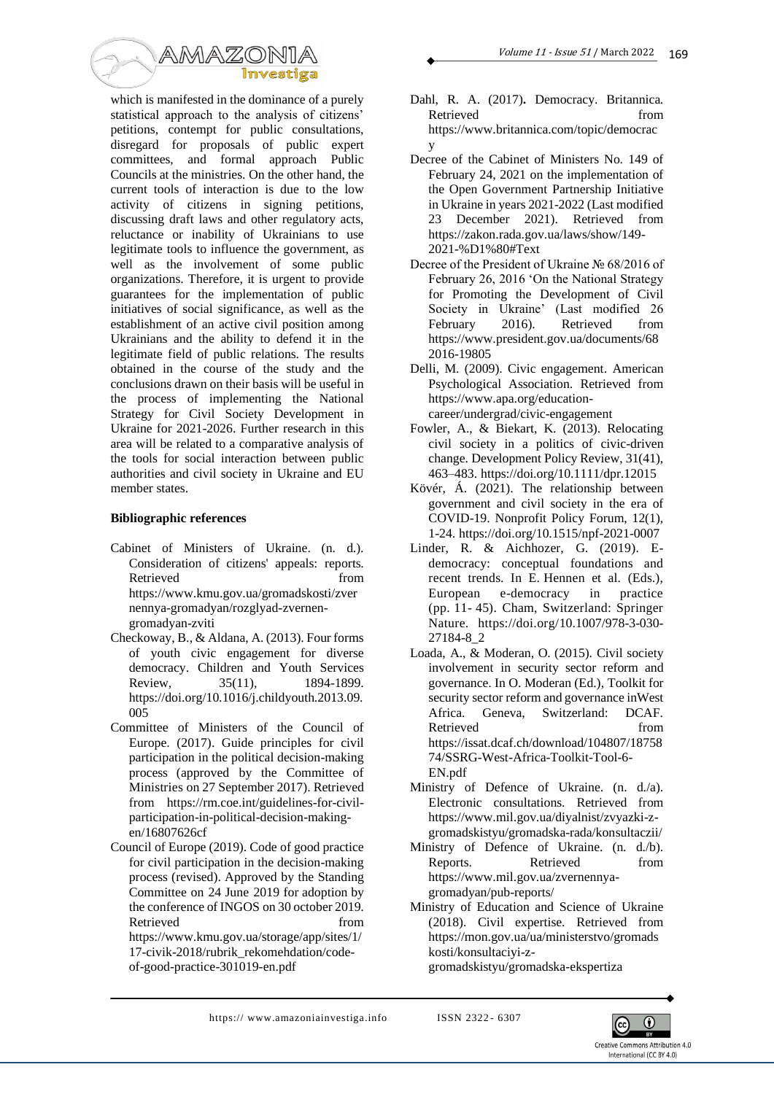

which is manifested in the dominance of a purely statistical approach to the analysis of citizens' petitions, contempt for public consultations, disregard for proposals of public expert committees, and formal approach Public Councils at the ministries. On the other hand, the current tools of interaction is due to the low activity of citizens in signing petitions, discussing draft laws and other regulatory acts, reluctance or inability of Ukrainians to use legitimate tools to influence the government, as well as the involvement of some public organizations. Therefore, it is urgent to provide guarantees for the implementation of public initiatives of social significance, as well as the establishment of an active civil position among Ukrainians and the ability to defend it in the legitimate field of public relations. The results obtained in the course of the study and the conclusions drawn on their basis will be useful in the process of implementing the National Strategy for Civil Society Development in Ukraine for 2021-2026. Further research in this area will be related to a comparative analysis of the tools for social interaction between public authorities and civil society in Ukraine and EU member states.

## **Bibliographic references**

- Cabinet of Ministers of Ukraine. (n. d.). Consideration of citizens' appeals: reports. Retrieved from https://www.kmu.gov.ua/gromadskosti/zver nennya-gromadyan/rozglyad-zvernengromadyan-zviti
- Checkoway, B., & Aldana, A. (2013). Four forms of youth civic engagement for diverse democracy. Children and Youth Services Review, 35(11), 1894-1899. https://doi.org/10.1016/j.childyouth.2013.09. 005
- Committee of Ministers of the Council of Europe. (2017). Guide principles for civil participation in the political decision-making process (approved by the Committee of Ministries on 27 September 2017). Retrieved from https://rm.coe.int/guidelines-for-civilparticipation-in-political-decision-makingen/16807626cf
- Council of Europe (2019). Code of good practice for civil participation in the decision-making process (revised). Approved by the Standing Committee on 24 June 2019 for adoption by the conference of INGOS on 30 october 2019. Retrieved from from
	- https://www.kmu.gov.ua/storage/app/sites/1/ 17-civik-2018/rubrik\_rekomehdation/codeof-good-practice-301019-en.pdf
- Dahl, R. A. (2017)**.** Democracy. Britannica. Retrieved from  $\sim$ https://www.britannica.com/topic/democrac y
- Decree of the Cabinet of Ministers No. 149 of February 24, 2021 on the implementation of the Open Government Partnership Initiative in Ukraine in years 2021-2022 (Last modified 23 December 2021). Retrieved from https://zakon.rada.gov.ua/laws/show/149- 2021-%D1%80#Text
- Decree of the President of Ukraine № 68/2016 of February 26, 2016 'On the National Strategy for Promoting the Development of Civil Society in Ukraine' (Last modified 26 February 2016). Retrieved from https://www.president.gov.ua/documents/68 2016-19805
- Delli, M. (2009). [Civic engagement.](http://www.apa.org/education/undergrad/civic-engagement.aspx) American Psychological Association. Retrieved from https://www.apa.org/educationcareer/undergrad/civic-engagement
- Fowler, A., & Biekart, K. (2013). Relocating civil society in a politics of civic-driven change. Development Policy Review, 31(41), 463–483. https://doi.org/10.1111/dpr.12015
- Kövér, Á. (2021). The relationship between government and civil society in the era of COVID-19. Nonprofit Policy Forum, 12(1), 1-24. https://doi.org/10.1515/npf-2021-0007
- Linder, R. & Aichhozer, G. (2019). Edemocracy: conceptual foundations and recent trends. In E. Hennen et al. (Eds.), European e-democracy in practice (pp. 11- 45). Cham, Switzerland: Springer Nature. https://doi.org/10.1007/978-3-030- 27184-8\_2
- Loada, A., & Moderan, O. (2015). Civil society involvement in security sector reform and governance. In O. Moderan (Ed.), Toolkit for security sector reform and governance inWest Africa. Geneva, Switzerland: DCAF. Retrieved from  $\sim$ https://issat.dcaf.ch/download/104807/18758 74/SSRG-West-Africa-Toolkit-Tool-6- EN.pdf
- Ministry of Defence of Ukraine. (n. d./a). Electronic consultations. Retrieved from https://www.mil.gov.ua/diyalnist/zvyazki-zgromadskistyu/gromadska-rada/konsultaczii/
- Ministry of Defence of Ukraine. (n. d./b). Reports. Retrieved from https://www.mil.gov.ua/zvernennyagromadyan/pub-reports/
- Ministry of Education and Science of Ukraine (2018). Civil expertise. Retrieved from https://mon.gov.ua/ua/ministerstvo/gromads kosti/konsultaciyi-zgromadskistyu/gromadska-ekspertiza